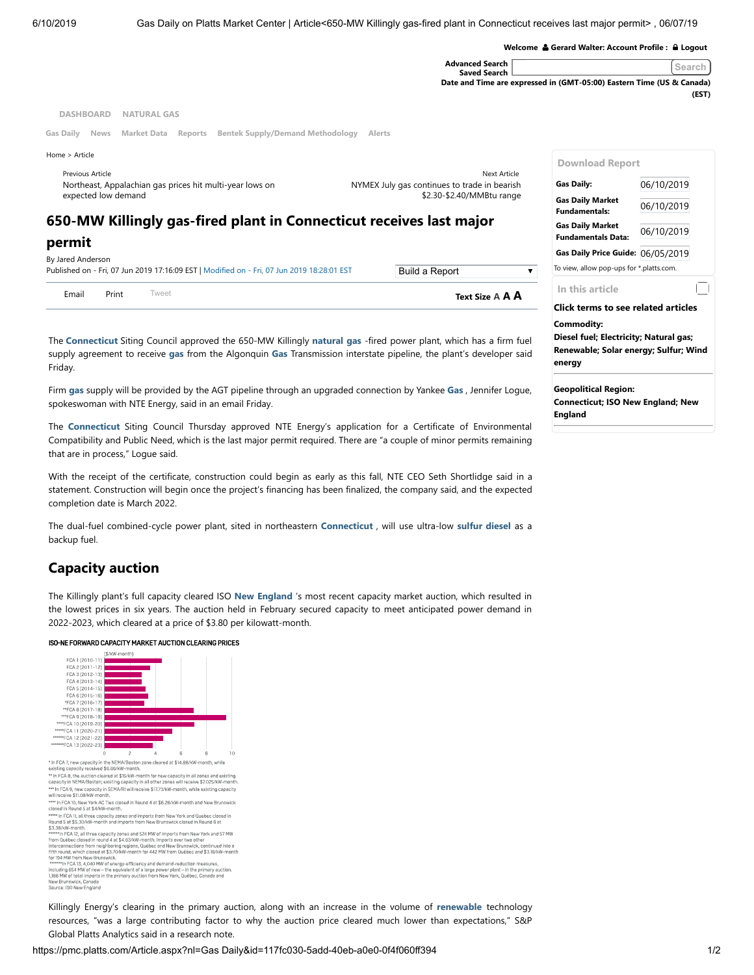|                                                                                               |                                                                       | Welcome & Gerard Walter: Account Profile : A Logout |            |
|-----------------------------------------------------------------------------------------------|-----------------------------------------------------------------------|-----------------------------------------------------|------------|
|                                                                                               | <b>Advanced Search</b><br><b>Saved Search</b>                         |                                                     | Search     |
|                                                                                               | Date and Time are expressed in (GMT-05:00) Eastern Time (US & Canada) |                                                     |            |
|                                                                                               |                                                                       |                                                     | (EST)      |
| <b>DASHBOARD</b><br><b>NATURAL GAS</b>                                                        |                                                                       |                                                     |            |
| <b>Bentek Supply/Demand Methodology</b><br>Gas Daily<br><b>News</b><br>Market Data<br>Reports | <b>Alerts</b>                                                         |                                                     |            |
| Home > Article                                                                                |                                                                       | <b>Download Report</b>                              |            |
| Previous Article                                                                              | Next Article                                                          |                                                     |            |
| Northeast, Appalachian gas prices hit multi-year lows on                                      | NYMEX July gas continues to trade in bearish                          | Gas Daily:                                          | 06/10/2019 |
| expected low demand                                                                           | \$2.30-\$2.40/MMBtu range                                             | <b>Gas Daily Market</b>                             |            |
|                                                                                               |                                                                       | <b>Fundamentals:</b>                                | 06/10/2019 |
| 650-MW Killingly gas-fired plant in Connecticut receives last major                           |                                                                       | <b>Gas Daily Market</b>                             |            |
| permit                                                                                        |                                                                       | <b>Fundamentals Data:</b>                           | 06/10/2019 |
|                                                                                               |                                                                       | Gas Daily Price Guide: 06/05/2019                   |            |
| By Jared Anderson                                                                             |                                                                       |                                                     |            |

| Email             | Print | Tweet                                                                                      | Text Size A <b>A A</b> |  |
|-------------------|-------|--------------------------------------------------------------------------------------------|------------------------|--|
|                   |       | Published on - Fri, 07 Jun 2019 17:16:09 EST   Modified on - Fri, 07 Jun 2019 18:28:01 EST | Build a Report         |  |
| By Jared Anderson |       |                                                                                            |                        |  |

The **Connecticut** Siting Council approved the 650-MW Killingly **natural gas** -fired power plant, which has a firm fuel supply agreement to receive **gas** from the Algonquin **Gas** Transmission interstate pipeline, the plant's developer said Friday.

Firm **gas** supply will be provided by the AGT pipeline through an upgraded connection by Yankee **Gas** , Jennifer Logue, spokeswoman with NTE Energy, said in an email Friday.

The **Connecticut** Siting Council Thursday approved NTE Energy's application for a Certificate of Environmental Compatibility and Public Need, which is the last major permit required. There are "a couple of minor permits remaining that are in process," Logue said.

With the receipt of the certificate, construction could begin as early as this fall, NTE CEO Seth Shortlidge said in a statement. Construction will begin once the project's financing has been finalized, the company said, and the expected completion date is March 2022.

The dual-fuel combined-cycle power plant, sited in northeastern **Connecticut** , will use ultra-low **sulfur diesel** as a backup fuel.

## **Capacity auction**

The Killingly plant's full capacity cleared ISO **New England** 's most recent capacity market auction, which resulted in the lowest prices in six years. The auction held in February secured capacity to meet anticipated power demand in 2022-2023, which cleared at a price of \$3.80 per kilowatt-month.

## ISO-NE FORWARD CAPACITY MARKET AUCTION CLEARING PRICES



\*\*\* In FCA 9, new capacity in SEMA/RI will receive \$17.73/kW-month, while existing capacity<br>will receive \$11.08/kW-month. \*\*\* In FCA 9, new capacity in SEMA/RI will receive \$17.73/kW-month, while existing capacity<br>will receive \$11.08/kW-month.<br>\*\*\*\* In FCA 10, New York AC Ties closed in Round 4 at \$6.26/kW-month and New Brunswick<br>closed in Rou

\*\*\*\*\* In FCA 11, all three capacity zones and imports from New York and Quebec closed in<br>Round 5 at \$5.30/kW-month and imports from New Brunswick closed in Round 6 at

from Québec closed in round 4 at \$4.63/kW-month. Imports over two other

from Québec closed in round 4 at \$4.63W/-month. Imports over two other<br>interconnections from meighboring regions, Québec and New Brunswick, continued into a<br>fifth round, which closed at \$3.0W/-month for 442 MW from Québec

New Brunswick, Canada<br>Source: ISO New England

Killingly Energy's clearing in the primary auction, along with an increase in the volume of **renewable** technology resources, "was a large contributing factor to why the auction price cleared much lower than expectations," S&P Global Platts Analytics said in a research note.

To view, allow pop-ups for \*.platts.com.

**Click terms to see related articles**

**[Diesel fuel;](https://pmc.platts.com/Search.aspx?by=c&k=Diesel%20fuel) [Electricity;](https://pmc.platts.com/Search.aspx?by=c&k=Electricity) [Natural gas](https://pmc.platts.com/Search.aspx?by=c&k=Natural%20gas); [Renewabl](https://pmc.platts.com/Search.aspx?by=c&k=Renewable)[e;](https://pmc.platts.com/Search.aspx?by=c&k=Wind%20energy) [Solar energy](https://pmc.platts.com/Search.aspx?by=c&k=Solar%20energy)[; S](https://pmc.platts.com/Search.aspx?by=c&k=Wind%20energy)[ulfu](https://pmc.platts.com/Search.aspx?by=c&k=Sulfur)[r; Wind](https://pmc.platts.com/Search.aspx?by=c&k=Wind%20energy)**

**[Connecticut](https://pmc.platts.com/Search.aspx?by=gr&k=Connecticut)[; I](https://pmc.platts.com/Search.aspx?by=gr&k=New%20England)[SO New England](https://pmc.platts.com/Search.aspx?by=gr&k=ISO%20New%20England)[; New](https://pmc.platts.com/Search.aspx?by=gr&k=New%20England)**

**In this article**

**Geopolitical Region:**

**Commodity:**

**energy**

**England**